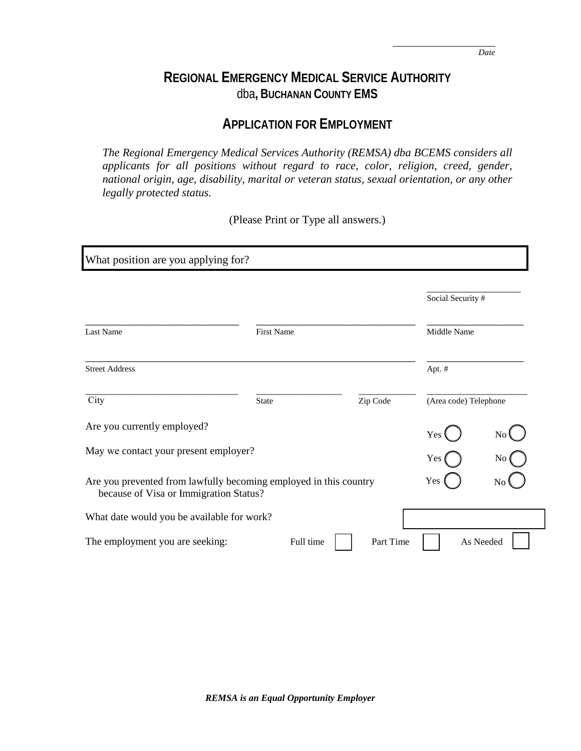## **REGIONAL EMERGENCY MEDICAL SERVICE AUTHORITY** dba**, BUCHANAN COUNTY EMS**

## **APPLICATION FOR EMPLOYMENT**

*The Regional Emergency Medical Services Authority (REMSA) dba BCEMS considers all applicants for all positions without regard to race, color, religion, creed, gender, national origin, age, disability, marital or veteran status, sexual orientation, or any other legally protected status.*

(Please Print or Type all answers.)

| What position are you applying for?                                                                         |                   |           |                       |                |
|-------------------------------------------------------------------------------------------------------------|-------------------|-----------|-----------------------|----------------|
|                                                                                                             |                   |           | Social Security #     |                |
| Last Name                                                                                                   | <b>First Name</b> |           | Middle Name           |                |
| <b>Street Address</b>                                                                                       |                   |           | Apt. #                |                |
| City                                                                                                        | <b>State</b>      | Zip Code  | (Area code) Telephone |                |
| Are you currently employed?                                                                                 |                   |           | Yes                   | N <sub>0</sub> |
| May we contact your present employer?                                                                       |                   |           | Yes                   | No             |
| Are you prevented from lawfully becoming employed in this country<br>because of Visa or Immigration Status? |                   |           | Yes                   | No             |
| What date would you be available for work?                                                                  |                   |           |                       |                |
| The employment you are seeking:                                                                             | Full time         | Part Time |                       | As Needed      |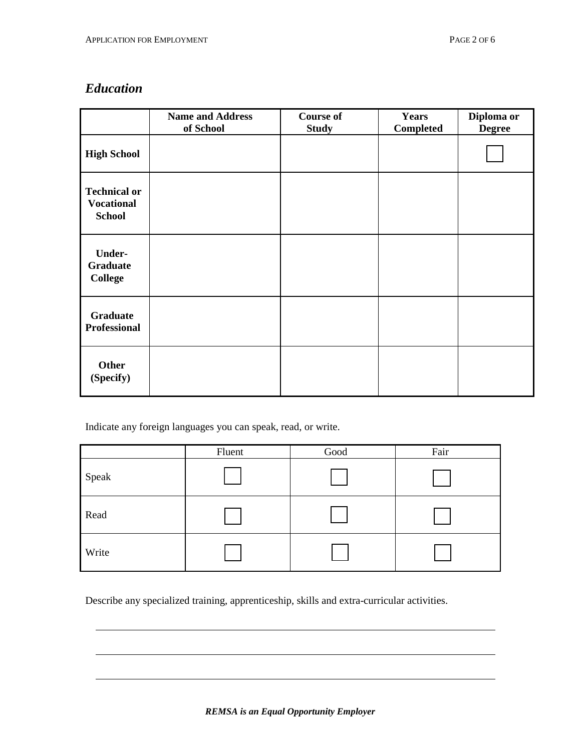### *Education*

|                                                           | <b>Name and Address</b><br>of School | <b>Course of</b><br><b>Study</b> | <b>Years</b><br>Completed | Diploma or<br><b>Degree</b> |
|-----------------------------------------------------------|--------------------------------------|----------------------------------|---------------------------|-----------------------------|
| <b>High School</b>                                        |                                      |                                  |                           |                             |
| <b>Technical or</b><br><b>Vocational</b><br><b>School</b> |                                      |                                  |                           |                             |
| <b>Under-</b><br><b>Graduate</b><br><b>College</b>        |                                      |                                  |                           |                             |
| <b>Graduate</b><br><b>Professional</b>                    |                                      |                                  |                           |                             |
| <b>Other</b><br>(Specify)                                 |                                      |                                  |                           |                             |

Indicate any foreign languages you can speak, read, or write.

|       | Fluent | Good | Fair |
|-------|--------|------|------|
| Speak |        |      |      |
| Read  |        |      |      |
| Write |        |      |      |

Describe any specialized training, apprenticeship, skills and extra-curricular activities.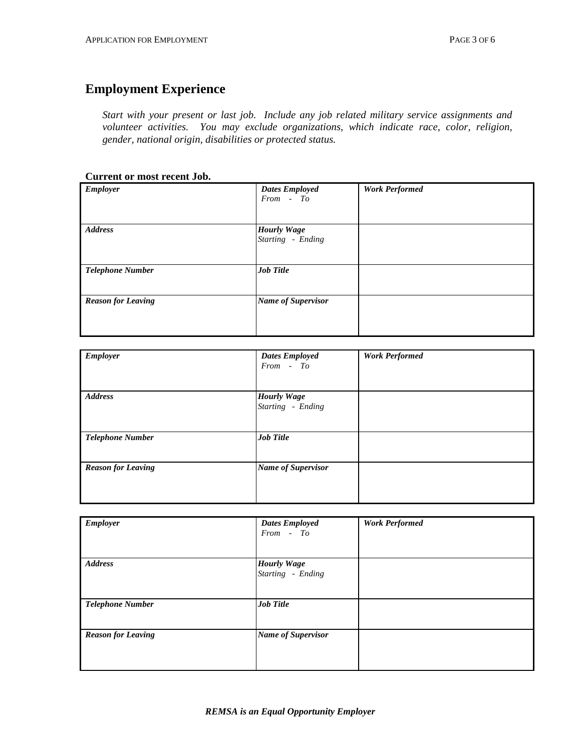### **Employment Experience**

*Start with your present or last job. Include any job related military service assignments and volunteer activities. You may exclude organizations, which indicate race, color, religion, gender, national origin, disabilities or protected status.*

#### **Current or most recent Job.**

| Employer                  | <b>Dates Employed</b><br>$From - To$    | <b>Work Performed</b> |
|---------------------------|-----------------------------------------|-----------------------|
|                           |                                         |                       |
| <b>Address</b>            | <b>Hourly Wage</b><br>Starting - Ending |                       |
| <b>Telephone Number</b>   | <b>Job Title</b>                        |                       |
| <b>Reason for Leaving</b> | <b>Name of Supervisor</b>               |                       |

| <b>Employer</b>           | <b>Dates Employed</b><br>From - To      | <b>Work Performed</b> |
|---------------------------|-----------------------------------------|-----------------------|
|                           |                                         |                       |
| <b>Address</b>            | <b>Hourly Wage</b><br>Starting - Ending |                       |
| <b>Telephone Number</b>   | <b>Job Title</b>                        |                       |
| <b>Reason for Leaving</b> | <b>Name of Supervisor</b>               |                       |

| <b>Employer</b>           | <b>Dates Employed</b><br>From - To | <b>Work Performed</b> |
|---------------------------|------------------------------------|-----------------------|
| <b>Address</b>            | <b>Hourly Wage</b>                 |                       |
|                           | Starting - Ending                  |                       |
| <b>Telephone Number</b>   | <b>Job Title</b>                   |                       |
| <b>Reason for Leaving</b> | <b>Name of Supervisor</b>          |                       |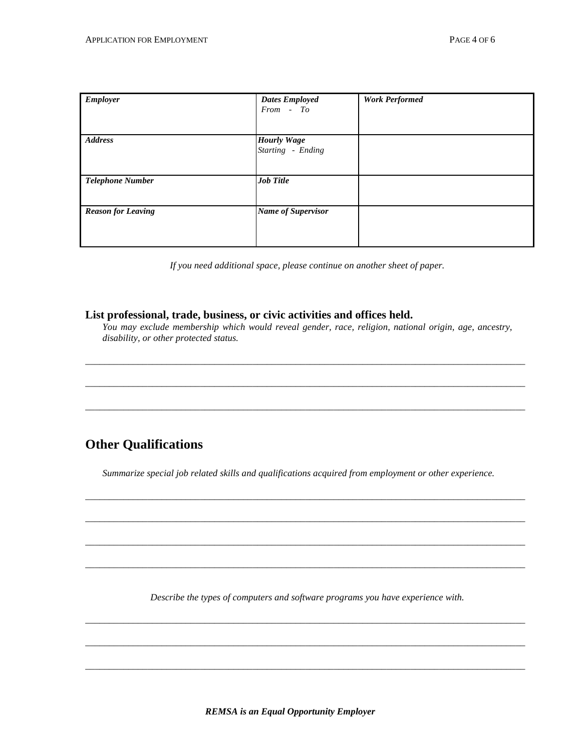| <b>Employer</b>           | <b>Dates Employed</b>     | <b>Work Performed</b> |
|---------------------------|---------------------------|-----------------------|
|                           | From - To                 |                       |
|                           |                           |                       |
|                           |                           |                       |
|                           |                           |                       |
| <b>Address</b>            | <b>Hourly Wage</b>        |                       |
|                           | Starting - Ending         |                       |
|                           |                           |                       |
|                           |                           |                       |
|                           |                           |                       |
| <b>Telephone Number</b>   | <b>Job Title</b>          |                       |
|                           |                           |                       |
|                           |                           |                       |
| <b>Reason for Leaving</b> | <b>Name of Supervisor</b> |                       |
|                           |                           |                       |
|                           |                           |                       |
|                           |                           |                       |
|                           |                           |                       |

*If you need additional space, please continue on another sheet of paper.*

### **List professional, trade, business, or civic activities and offices held.**

*You may exclude membership which would reveal gender, race, religion, national origin, age, ancestry, disability, or other protected status.*

*\_\_\_\_\_\_\_\_\_\_\_\_\_\_\_\_\_\_\_\_\_\_\_\_\_\_\_\_\_\_\_\_\_\_\_\_\_\_\_\_\_\_\_\_\_\_\_\_\_\_\_\_\_\_\_\_\_\_\_\_\_\_\_\_\_\_\_\_\_\_\_\_\_\_\_\_\_\_\_\_\_\_\_\_\_\_\_\_\_\_\_\_*

*\_\_\_\_\_\_\_\_\_\_\_\_\_\_\_\_\_\_\_\_\_\_\_\_\_\_\_\_\_\_\_\_\_\_\_\_\_\_\_\_\_\_\_\_\_\_\_\_\_\_\_\_\_\_\_\_\_\_\_\_\_\_\_\_\_\_\_\_\_\_\_\_\_\_\_\_\_\_\_\_\_\_\_\_\_\_\_\_\_\_\_\_*

*\_\_\_\_\_\_\_\_\_\_\_\_\_\_\_\_\_\_\_\_\_\_\_\_\_\_\_\_\_\_\_\_\_\_\_\_\_\_\_\_\_\_\_\_\_\_\_\_\_\_\_\_\_\_\_\_\_\_\_\_\_\_\_\_\_\_\_\_\_\_\_\_\_\_\_\_\_\_\_\_\_\_\_\_\_\_\_\_\_\_\_\_*

### **Other Qualifications**

*Summarize special job related skills and qualifications acquired from employment or other experience.*

*\_\_\_\_\_\_\_\_\_\_\_\_\_\_\_\_\_\_\_\_\_\_\_\_\_\_\_\_\_\_\_\_\_\_\_\_\_\_\_\_\_\_\_\_\_\_\_\_\_\_\_\_\_\_\_\_\_\_\_\_\_\_\_\_\_\_\_\_\_\_\_\_\_\_\_\_\_\_\_\_\_\_\_\_\_\_\_\_\_\_\_\_*

*\_\_\_\_\_\_\_\_\_\_\_\_\_\_\_\_\_\_\_\_\_\_\_\_\_\_\_\_\_\_\_\_\_\_\_\_\_\_\_\_\_\_\_\_\_\_\_\_\_\_\_\_\_\_\_\_\_\_\_\_\_\_\_\_\_\_\_\_\_\_\_\_\_\_\_\_\_\_\_\_\_\_\_\_\_\_\_\_\_\_\_\_*

*\_\_\_\_\_\_\_\_\_\_\_\_\_\_\_\_\_\_\_\_\_\_\_\_\_\_\_\_\_\_\_\_\_\_\_\_\_\_\_\_\_\_\_\_\_\_\_\_\_\_\_\_\_\_\_\_\_\_\_\_\_\_\_\_\_\_\_\_\_\_\_\_\_\_\_\_\_\_\_\_\_\_\_\_\_\_\_\_\_\_\_\_*

*\_\_\_\_\_\_\_\_\_\_\_\_\_\_\_\_\_\_\_\_\_\_\_\_\_\_\_\_\_\_\_\_\_\_\_\_\_\_\_\_\_\_\_\_\_\_\_\_\_\_\_\_\_\_\_\_\_\_\_\_\_\_\_\_\_\_\_\_\_\_\_\_\_\_\_\_\_\_\_\_\_\_\_\_\_\_\_\_\_\_\_\_*

*Describe the types of computers and software programs you have experience with.*

*\_\_\_\_\_\_\_\_\_\_\_\_\_\_\_\_\_\_\_\_\_\_\_\_\_\_\_\_\_\_\_\_\_\_\_\_\_\_\_\_\_\_\_\_\_\_\_\_\_\_\_\_\_\_\_\_\_\_\_\_\_\_\_\_\_\_\_\_\_\_\_\_\_\_\_\_\_\_\_\_\_\_\_\_\_\_\_\_\_\_\_\_*

*\_\_\_\_\_\_\_\_\_\_\_\_\_\_\_\_\_\_\_\_\_\_\_\_\_\_\_\_\_\_\_\_\_\_\_\_\_\_\_\_\_\_\_\_\_\_\_\_\_\_\_\_\_\_\_\_\_\_\_\_\_\_\_\_\_\_\_\_\_\_\_\_\_\_\_\_\_\_\_\_\_\_\_\_\_\_\_\_\_\_\_\_*

*\_\_\_\_\_\_\_\_\_\_\_\_\_\_\_\_\_\_\_\_\_\_\_\_\_\_\_\_\_\_\_\_\_\_\_\_\_\_\_\_\_\_\_\_\_\_\_\_\_\_\_\_\_\_\_\_\_\_\_\_\_\_\_\_\_\_\_\_\_\_\_\_\_\_\_\_\_\_\_\_\_\_\_\_\_\_\_\_\_\_\_\_*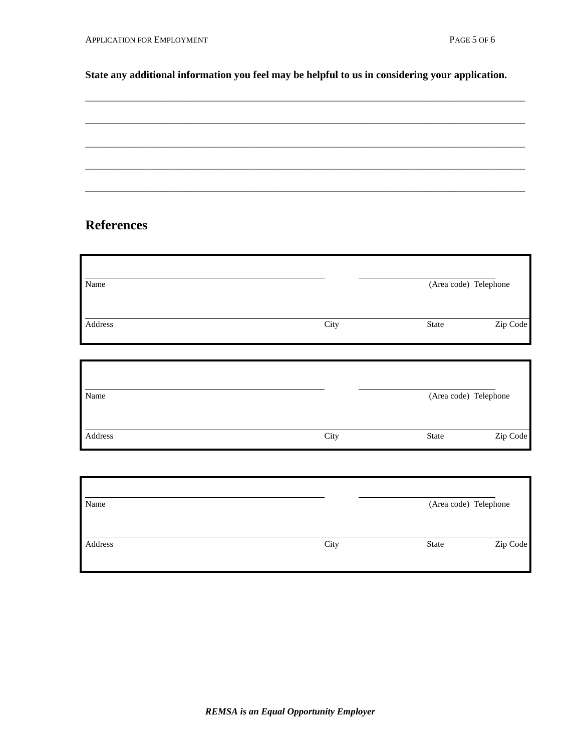### **State any additional information you feel may be helpful to us in considering your application.**

### **References**

| Name    |      | (Area code) Telephone |          |
|---------|------|-----------------------|----------|
| Address | City | State                 | Zip Code |
| Name    |      | (Area code) Telephone |          |
| Address | City | State                 | Zip Code |

| Name    |      | (Area code) Telephone |          |
|---------|------|-----------------------|----------|
| Address | City | State                 | Zip Code |